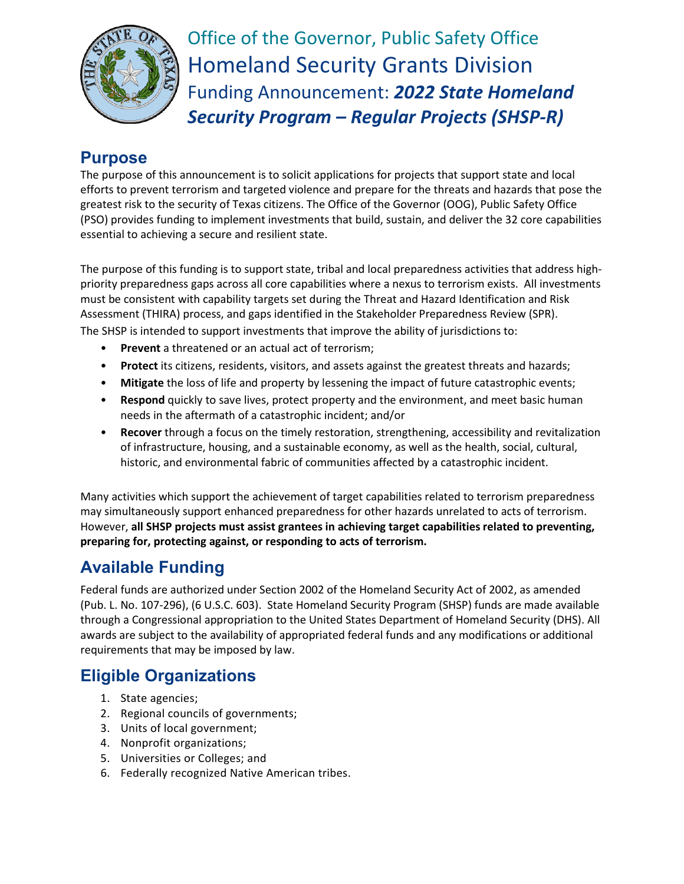

Office of the Governor, Public Safety Office Homeland Security Grants Division Funding Announcement: *2022 State Homeland Security Program – Regular Projects (SHSP-R)*

# **Purpose**

The purpose of this announcement is to solicit applications for projects that support state and local efforts to prevent terrorism and targeted violence and prepare for the threats and hazards that pose the greatest risk to the security of Texas citizens. The Office of the Governor (OOG), Public Safety Office (PSO) provides funding to implement investments that build, sustain, and deliver the 32 core capabilities essential to achieving a secure and resilient state.

The purpose of this funding is to support state, tribal and local preparedness activities that address highpriority preparedness gaps across all core capabilities where a nexus to terrorism exists. All investments must be consistent with capability targets set during the Threat and Hazard Identification and Risk Assessment (THIRA) process, and gaps identified in the Stakeholder Preparedness Review (SPR). The SHSP is intended to support investments that improve the ability of jurisdictions to:

- **Prevent** a threatened or an actual act of terrorism;
- **Protect** its citizens, residents, visitors, and assets against the greatest threats and hazards;
- **Mitigate** the loss of life and property by lessening the impact of future catastrophic events;
- **Respond** quickly to save lives, protect property and the environment, and meet basic human needs in the aftermath of a catastrophic incident; and/or
- **Recover** through a focus on the timely restoration, strengthening, accessibility and revitalization of infrastructure, housing, and a sustainable economy, as well as the health, social, cultural, historic, and environmental fabric of communities affected by a catastrophic incident.

Many activities which support the achievement of target capabilities related to terrorism preparedness may simultaneously support enhanced preparedness for other hazards unrelated to acts of terrorism. However, **all SHSP projects must assist grantees in achieving target capabilities related to preventing, preparing for, protecting against, or responding to acts of terrorism.**

# **Available Funding**

Federal funds are authorized under Section 2002 of the Homeland Security Act of 2002, as amended (Pub. L. No. 107-296), (6 U.S.C. 603). State Homeland Security Program (SHSP) funds are made available through a Congressional appropriation to the United States Department of Homeland Security (DHS). All awards are subject to the availability of appropriated federal funds and any modifications or additional requirements that may be imposed by law.

### **Eligible Organizations**

- 1. State agencies;
- 2. Regional councils of governments;
- 3. Units of local government;
- 4. Nonprofit organizations;
- 5. Universities or Colleges; and
- 6. Federally recognized Native American tribes.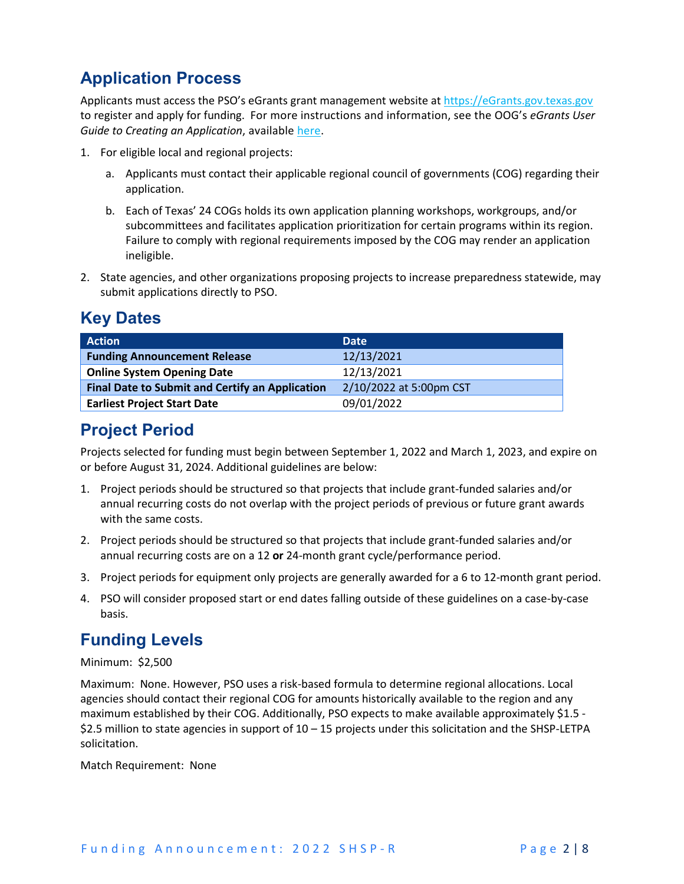# **Application Process**

Applicants must access the PSO's eGrants grant management website at [https://eGrants.gov.texas.gov](https://egrants.gov.texas.gov/) to register and apply for funding. For more instructions and information, see the OOG's *eGrants User Guide to Creating an Application*, available [here.](https://egrants.gov.texas.gov/fundopp.aspx?name=eGrants_Guide_to_Creating_an_Application_12.2020.pdf&type=2)

- 1. For eligible local and regional projects:
	- a. Applicants must contact their applicable regional council of governments (COG) regarding their application.
	- b. Each of Texas' 24 COGs holds its own application planning workshops, workgroups, and/or subcommittees and facilitates application prioritization for certain programs within its region. Failure to comply with regional requirements imposed by the COG may render an application ineligible.
- 2. State agencies, and other organizations proposing projects to increase preparedness statewide, may submit applications directly to PSO.

# **Key Dates**

| <b>Action</b>                                          | <b>Date</b>             |
|--------------------------------------------------------|-------------------------|
| <b>Funding Announcement Release</b>                    | 12/13/2021              |
| <b>Online System Opening Date</b>                      | 12/13/2021              |
| <b>Final Date to Submit and Certify an Application</b> | 2/10/2022 at 5:00pm CST |
| <b>Earliest Project Start Date</b>                     | 09/01/2022              |

# **Project Period**

Projects selected for funding must begin between September 1, 2022 and March 1, 2023, and expire on or before August 31, 2024. Additional guidelines are below:

- 1. Project periods should be structured so that projects that include grant-funded salaries and/or annual recurring costs do not overlap with the project periods of previous or future grant awards with the same costs.
- 2. Project periods should be structured so that projects that include grant-funded salaries and/or annual recurring costs are on a 12 **or** 24-month grant cycle/performance period.
- 3. Project periods for equipment only projects are generally awarded for a 6 to 12-month grant period.
- 4. PSO will consider proposed start or end dates falling outside of these guidelines on a case-by-case basis.

### **Funding Levels**

Minimum: \$2,500

Maximum: None. However, PSO uses a risk-based formula to determine regional allocations. Local agencies should contact their regional COG for amounts historically available to the region and any maximum established by their COG. Additionally, PSO expects to make available approximately \$1.5 - \$2.5 million to state agencies in support of 10 – 15 projects under this solicitation and the SHSP-LETPA solicitation.

Match Requirement: None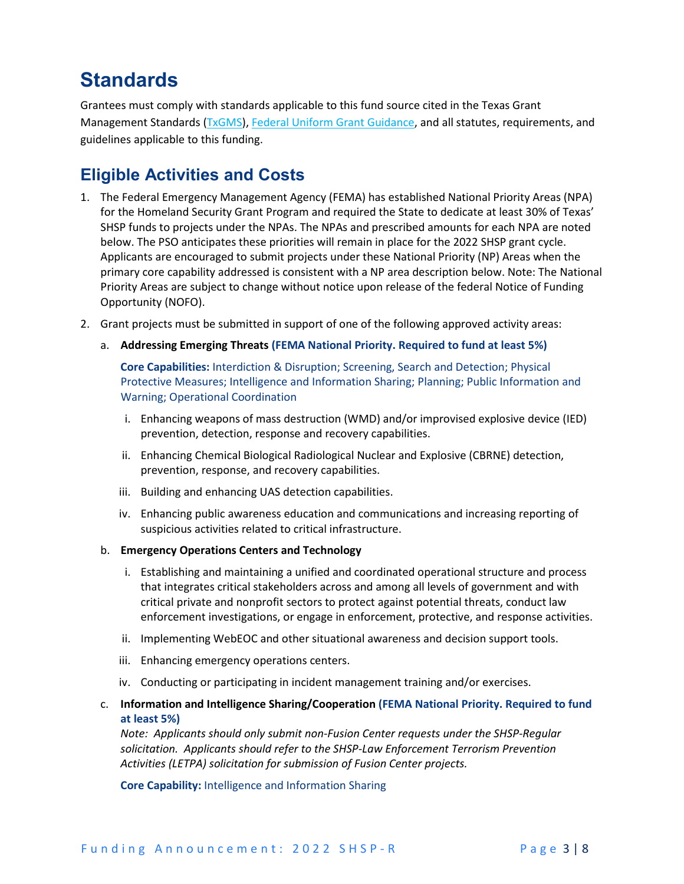# **Standards**

Grantees must comply with standards applicable to this fund source cited in the Texas Grant Management Standards [\(TxGMS\)](https://comptroller.texas.gov/purchasing/grant-management/), [Federal Uniform Grant Guidance,](https://www.ecfr.gov/current/title-2/subtitle-A/chapter-II/part-200?toc=1) and all statutes, requirements, and guidelines applicable to this funding.

### **Eligible Activities and Costs**

- 1. The Federal Emergency Management Agency (FEMA) has established National Priority Areas (NPA) for the Homeland Security Grant Program and required the State to dedicate at least 30% of Texas' SHSP funds to projects under the NPAs. The NPAs and prescribed amounts for each NPA are noted below. The PSO anticipates these priorities will remain in place for the 2022 SHSP grant cycle. Applicants are encouraged to submit projects under these National Priority (NP) Areas when the primary core capability addressed is consistent with a NP area description below. Note: The National Priority Areas are subject to change without notice upon release of the federal Notice of Funding Opportunity (NOFO).
- 2. Grant projects must be submitted in support of one of the following approved activity areas:
	- a. **Addressing Emerging Threats (FEMA National Priority. Required to fund at least 5%)**

**Core Capabilities:** Interdiction & Disruption; Screening, Search and Detection; Physical Protective Measures; Intelligence and Information Sharing; Planning; Public Information and Warning; Operational Coordination

- i. Enhancing weapons of mass destruction (WMD) and/or improvised explosive device (IED) prevention, detection, response and recovery capabilities.
- ii. Enhancing Chemical Biological Radiological Nuclear and Explosive (CBRNE) detection, prevention, response, and recovery capabilities.
- iii. Building and enhancing UAS detection capabilities.
- iv. Enhancing public awareness education and communications and increasing reporting of suspicious activities related to critical infrastructure.
- b. **Emergency Operations Centers and Technology**
	- i. Establishing and maintaining a unified and coordinated operational structure and process that integrates critical stakeholders across and among all levels of government and with critical private and nonprofit sectors to protect against potential threats, conduct law enforcement investigations, or engage in enforcement, protective, and response activities.
	- ii. Implementing WebEOC and other situational awareness and decision support tools.
	- iii. Enhancing emergency operations centers.
	- iv. Conducting or participating in incident management training and/or exercises.
- c. **Information and Intelligence Sharing/Cooperation (FEMA National Priority. Required to fund at least 5%)**

*Note: Applicants should only submit non-Fusion Center requests under the SHSP-Regular solicitation. Applicants should refer to the SHSP-Law Enforcement Terrorism Prevention Activities (LETPA) solicitation for submission of Fusion Center projects.*

**Core Capability:** Intelligence and Information Sharing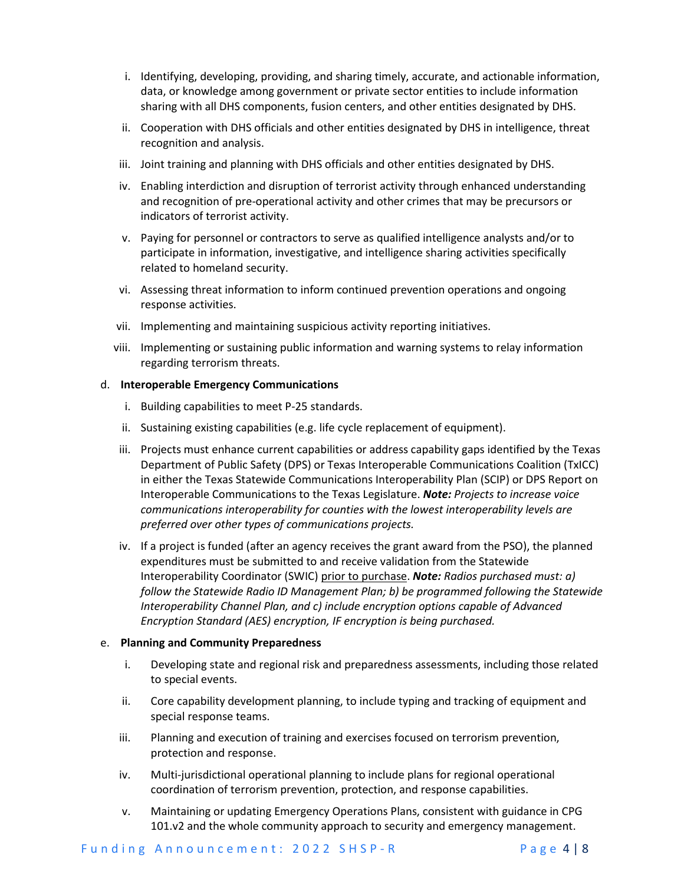- i. Identifying, developing, providing, and sharing timely, accurate, and actionable information, data, or knowledge among government or private sector entities to include information sharing with all DHS components, fusion centers, and other entities designated by DHS.
- ii. Cooperation with DHS officials and other entities designated by DHS in intelligence, threat recognition and analysis.
- iii. Joint training and planning with DHS officials and other entities designated by DHS.
- iv. Enabling interdiction and disruption of terrorist activity through enhanced understanding and recognition of pre-operational activity and other crimes that may be precursors or indicators of terrorist activity.
- v. Paying for personnel or contractors to serve as qualified intelligence analysts and/or to participate in information, investigative, and intelligence sharing activities specifically related to homeland security.
- vi. Assessing threat information to inform continued prevention operations and ongoing response activities.
- vii. Implementing and maintaining suspicious activity reporting initiatives.
- viii. Implementing or sustaining public information and warning systems to relay information regarding terrorism threats.

#### d. **Interoperable Emergency Communications**

- i. Building capabilities to meet P-25 standards.
- ii. Sustaining existing capabilities (e.g. life cycle replacement of equipment).
- iii. Projects must enhance current capabilities or address capability gaps identified by the Texas Department of Public Safety (DPS) or Texas Interoperable Communications Coalition (TxICC) in either the Texas Statewide Communications Interoperability Plan (SCIP) or DPS Report on Interoperable Communications to the Texas Legislature. *Note: Projects to increase voice communications interoperability for counties with the lowest interoperability levels are preferred over other types of communications projects.*
- iv. If a project is funded (after an agency receives the grant award from the PSO), the planned expenditures must be submitted to and receive validation from the Statewide Interoperability Coordinator (SWIC) prior to purchase. *Note: Radios purchased must: a) follow the Statewide Radio ID Management Plan; b) be programmed following the Statewide Interoperability Channel Plan, and c) include encryption options capable of Advanced Encryption Standard (AES) encryption, IF encryption is being purchased.*

#### e. **Planning and Community Preparedness**

- i. Developing state and regional risk and preparedness assessments, including those related to special events.
- ii. Core capability development planning, to include typing and tracking of equipment and special response teams.
- iii. Planning and execution of training and exercises focused on terrorism prevention, protection and response.
- iv. Multi-jurisdictional operational planning to include plans for regional operational coordination of terrorism prevention, protection, and response capabilities.
- v. Maintaining or updating Emergency Operations Plans, consistent with guidance in CPG 101.v2 and the whole community approach to security and emergency management.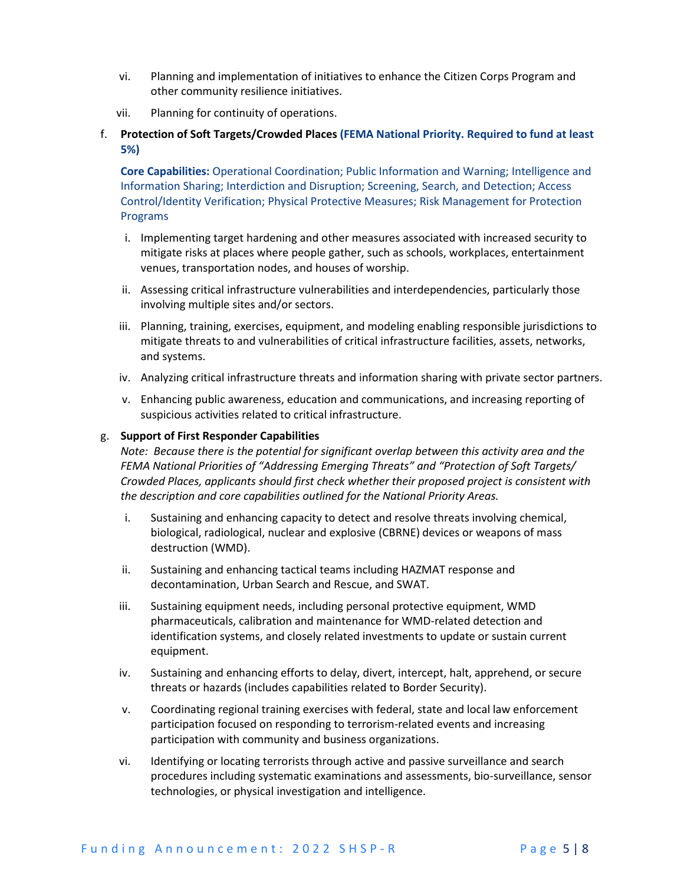- vi. Planning and implementation of initiatives to enhance the Citizen Corps Program and other community resilience initiatives.
- vii. Planning for continuity of operations.
- f. **Protection of Soft Targets/Crowded Places (FEMA National Priority. Required to fund at least 5%)**

**Core Capabilities:** Operational Coordination; Public Information and Warning; Intelligence and Information Sharing; Interdiction and Disruption; Screening, Search, and Detection; Access Control/Identity Verification; Physical Protective Measures; Risk Management for Protection Programs

- i. Implementing target hardening and other measures associated with increased security to mitigate risks at places where people gather, such as schools, workplaces, entertainment venues, transportation nodes, and houses of worship.
- ii. Assessing critical infrastructure vulnerabilities and interdependencies, particularly those involving multiple sites and/or sectors.
- iii. Planning, training, exercises, equipment, and modeling enabling responsible jurisdictions to mitigate threats to and vulnerabilities of critical infrastructure facilities, assets, networks, and systems.
- iv. Analyzing critical infrastructure threats and information sharing with private sector partners.
- v. Enhancing public awareness, education and communications, and increasing reporting of suspicious activities related to critical infrastructure.

#### g. **Support of First Responder Capabilities**

*Note: Because there is the potential for significant overlap between this activity area and the FEMA National Priorities of "Addressing Emerging Threats" and "Protection of Soft Targets/ Crowded Places, applicants should first check whether their proposed project is consistent with the description and core capabilities outlined for the National Priority Areas.*

- i. Sustaining and enhancing capacity to detect and resolve threats involving chemical, biological, radiological, nuclear and explosive (CBRNE) devices or weapons of mass destruction (WMD).
- ii. Sustaining and enhancing tactical teams including HAZMAT response and decontamination, Urban Search and Rescue, and SWAT.
- iii. Sustaining equipment needs, including personal protective equipment, WMD pharmaceuticals, calibration and maintenance for WMD-related detection and identification systems, and closely related investments to update or sustain current equipment.
- iv. Sustaining and enhancing efforts to delay, divert, intercept, halt, apprehend, or secure threats or hazards (includes capabilities related to Border Security).
- v. Coordinating regional training exercises with federal, state and local law enforcement participation focused on responding to terrorism-related events and increasing participation with community and business organizations.
- vi. Identifying or locating terrorists through active and passive surveillance and search procedures including systematic examinations and assessments, bio-surveillance, sensor technologies, or physical investigation and intelligence.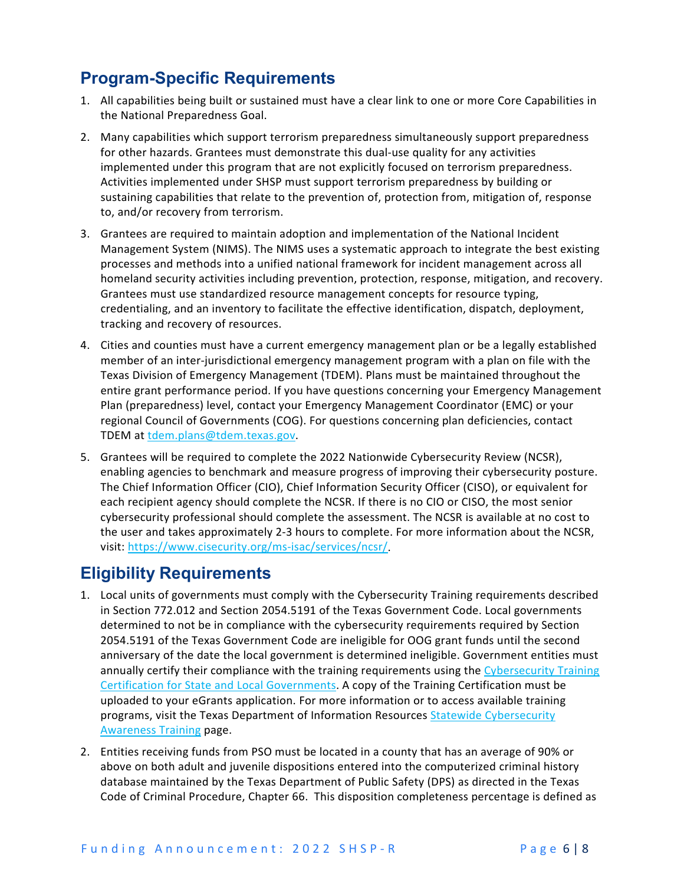# **Program-Specific Requirements**

- 1. All capabilities being built or sustained must have a clear link to one or more Core Capabilities in the National Preparedness Goal.
- 2. Many capabilities which support terrorism preparedness simultaneously support preparedness for other hazards. Grantees must demonstrate this dual-use quality for any activities implemented under this program that are not explicitly focused on terrorism preparedness. Activities implemented under SHSP must support terrorism preparedness by building or sustaining capabilities that relate to the prevention of, protection from, mitigation of, response to, and/or recovery from terrorism.
- 3. Grantees are required to maintain adoption and implementation of the National Incident Management System (NIMS). The NIMS uses a systematic approach to integrate the best existing processes and methods into a unified national framework for incident management across all homeland security activities including prevention, protection, response, mitigation, and recovery. Grantees must use standardized resource management concepts for resource typing, credentialing, and an inventory to facilitate the effective identification, dispatch, deployment, tracking and recovery of resources.
- 4. Cities and counties must have a current emergency management plan or be a legally established member of an inter-jurisdictional emergency management program with a plan on file with the Texas Division of Emergency Management (TDEM). Plans must be maintained throughout the entire grant performance period. If you have questions concerning your Emergency Management Plan (preparedness) level, contact your Emergency Management Coordinator (EMC) or your regional Council of Governments (COG). For questions concerning plan deficiencies, contact TDEM at [tdem.plans@tdem.texas.gov.](mailto:tdem.plans@tdem.texas.gov)
- 5. Grantees will be required to complete the 2022 Nationwide Cybersecurity Review (NCSR), enabling agencies to benchmark and measure progress of improving their cybersecurity posture. The Chief Information Officer (CIO), Chief Information Security Officer (CISO), or equivalent for each recipient agency should complete the NCSR. If there is no CIO or CISO, the most senior cybersecurity professional should complete the assessment. The NCSR is available at no cost to the user and takes approximately 2-3 hours to complete. For more information about the NCSR, visit: [https://www.cisecurity.org/ms-isac/services/ncsr/.](https://www.cisecurity.org/ms-isac/services/ncsr/)

### **Eligibility Requirements**

- 1. Local units of governments must comply with the Cybersecurity Training requirements described in Section 772.012 and Section 2054.5191 of the Texas Government Code. Local governments determined to not be in compliance with the cybersecurity requirements required by Section 2054.5191 of the Texas Government Code are ineligible for OOG grant funds until the second anniversary of the date the local government is determined ineligible. Government entities must annually certify their compliance with the training requirements using the Cybersecurity Training [Certification for State and Local Governments.](https://dircommunity.force.com/SecurityTrainingVerification/s/CybersecurityTrainingCertification) A copy of the Training Certification must be uploaded to your eGrants application. For more information or to access available training programs, visit the Texas Department of Information Resources [Statewide Cybersecurity](https://dir.texas.gov/information-security/statewide-cybersecurity-awareness-training)  [Awareness Training](https://dir.texas.gov/information-security/statewide-cybersecurity-awareness-training) page.
- 2. Entities receiving funds from PSO must be located in a county that has an average of 90% or above on both adult and juvenile dispositions entered into the computerized criminal history database maintained by the Texas Department of Public Safety (DPS) as directed in the Texas Code of Criminal Procedure, Chapter 66. This disposition completeness percentage is defined as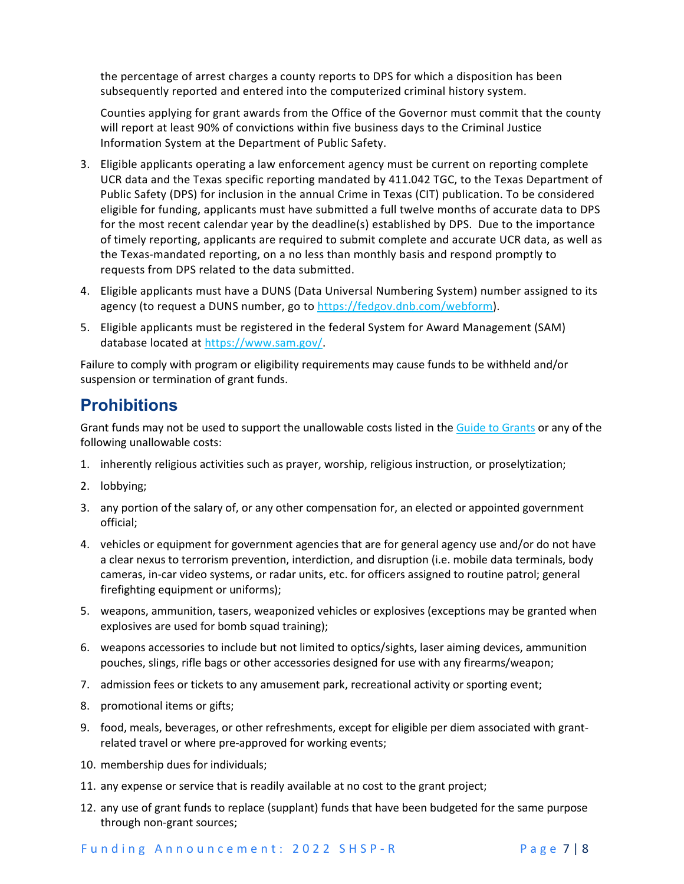the percentage of arrest charges a county reports to DPS for which a disposition has been subsequently reported and entered into the computerized criminal history system.

Counties applying for grant awards from the Office of the Governor must commit that the county will report at least 90% of convictions within five business days to the Criminal Justice Information System at the Department of Public Safety.

- 3. Eligible applicants operating a law enforcement agency must be current on reporting complete UCR data and the Texas specific reporting mandated by 411.042 TGC, to the Texas Department of Public Safety (DPS) for inclusion in the annual Crime in Texas (CIT) publication. To be considered eligible for funding, applicants must have submitted a full twelve months of accurate data to DPS for the most recent calendar year by the deadline(s) established by DPS. Due to the importance of timely reporting, applicants are required to submit complete and accurate UCR data, as well as the Texas-mandated reporting, on a no less than monthly basis and respond promptly to requests from DPS related to the data submitted.
- 4. Eligible applicants must have a DUNS (Data Universal Numbering System) number assigned to its agency (to request a DUNS number, go to [https://fedgov.dnb.com/webform\)](https://fedgov.dnb.com/webform).
- 5. Eligible applicants must be registered in the federal System for Award Management (SAM) database located at [https://www.sam.gov/.](https://www.sam.gov/)

Failure to comply with program or eligibility requirements may cause funds to be withheld and/or suspension or termination of grant funds.

### **Prohibitions**

Grant funds may not be used to support the unallowable costs listed in th[e Guide to Grants](https://egrants.gov.texas.gov/fundopp.aspx?name=2021%20Guide%20to%20Grants.pdf&type=2) or any of the following unallowable costs:

- 1. inherently religious activities such as prayer, worship, religious instruction, or proselytization;
- 2. lobbying;
- 3. any portion of the salary of, or any other compensation for, an elected or appointed government official;
- 4. vehicles or equipment for government agencies that are for general agency use and/or do not have a clear nexus to terrorism prevention, interdiction, and disruption (i.e. mobile data terminals, body cameras, in-car video systems, or radar units, etc. for officers assigned to routine patrol; general firefighting equipment or uniforms);
- 5. weapons, ammunition, tasers, weaponized vehicles or explosives (exceptions may be granted when explosives are used for bomb squad training);
- 6. weapons accessories to include but not limited to optics/sights, laser aiming devices, ammunition pouches, slings, rifle bags or other accessories designed for use with any firearms/weapon;
- 7. admission fees or tickets to any amusement park, recreational activity or sporting event;
- 8. promotional items or gifts;
- 9. food, meals, beverages, or other refreshments, except for eligible per diem associated with grantrelated travel or where pre-approved for working events;
- 10. membership dues for individuals;
- 11. any expense or service that is readily available at no cost to the grant project;
- 12. any use of grant funds to replace (supplant) funds that have been budgeted for the same purpose through non-grant sources;